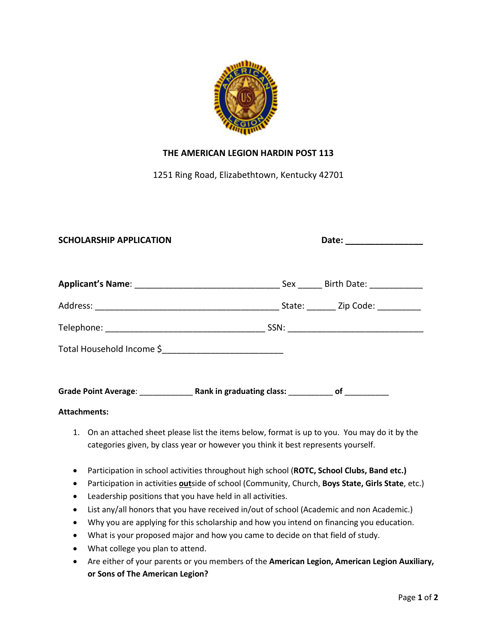

## **THE AMERICAN LEGION HARDIN POST 113**

1251 Ring Road, Elizabethtown, Kentucky 42701

| <b>SCHOLARSHIP APPLICATION</b>                                                                                                                                                      |  |
|-------------------------------------------------------------------------------------------------------------------------------------------------------------------------------------|--|
|                                                                                                                                                                                     |  |
|                                                                                                                                                                                     |  |
|                                                                                                                                                                                     |  |
|                                                                                                                                                                                     |  |
| <b>Attachments:</b>                                                                                                                                                                 |  |
| 1. On an attached sheet please list the items below, format is up to you. You may do it by the<br>categories given, by class year or however you think it best represents yourself. |  |

- Participation in school activities throughout high school (**ROTC, School Clubs, Band etc.)**
- **•** Participation in activities **out**side of school (Community, Church, **Boys State, Girls State**, etc.)
- Leadership positions that you have held in all activities.
- List any/all honors that you have received in/out of school (Academic and non Academic.)
- Why you are applying for this scholarship and how you intend on financing you education.
- What is your proposed major and how you came to decide on that field of study.
- What college you plan to attend.
- Are either of your parents or you members of the **American Legion, American Legion Auxiliary, or Sons of The American Legion?**